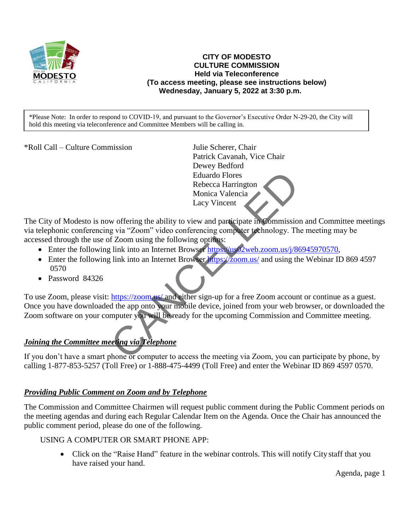

### **CITY OF MODESTO CULTURE COMMISSION Held via Teleconference (To access meeting, please see instructions below) Wednesday, January 5, 2022 at 3:30 p.m.**

\*Please Note: In order to respond to COVID-19, and pursuant to the Governor's Executive Order N-29-20, the City will hold this meeting via teleconference and Committee Members will be calling in.

\*Roll Call – Culture Commission Julie Scherer, Chair

Patrick Cavanah, Vice Chair Dewey Bedford Eduardo Flores Rebecca Harrington Monica Valencia Lacy Vincent

The City of Modesto is now offering the ability to view and participate in Commission and Committee meetings via telephonic conferencing via "Zoom" video conferencing computer technology. The meeting may be accessed through the use of Zoom using the following options:

- Enter the following link into an Internet Browser [https://us02web.zoom.us/j/86945970570,](https://us02web.zoom.us/j/86945970570)
- Enter the following link into an Internet Browser https://zoom.us/ and using the Webinar ID 869 4597 0570
- Password 84326

To use Zoom, please visit: https://zoom.us/ and either sign-up for a free Zoom account or continue as a guest. Once you have downloaded the app onto your mobile device, joined from your web browser, or downloaded the Zoom software on your computer you will be ready for the upcoming Commission and Committee meeting. Eduardo Flores<br>
Rebecca Harrington<br>
Monica Valencia<br>
Lacy Vincent<br>
w offering the ability to view and participate in Commission<br>
g via "Zoom" video conferencing computer technology. The<br>
Eduardo Monica Valencia<br>
Elink into

## *Joining the Committee meeting via Telephone*

If you don't have a smart phone or computer to access the meeting via Zoom, you can participate by phone, by calling 1-877-853-5257 (Toll Free) or 1-888-475-4499 (Toll Free) and enter the Webinar ID 869 4597 0570.

### *Providing Public Comment on Zoom and by Telephone*

The Commission and Committee Chairmen will request public comment during the Public Comment periods on the meeting agendas and during each Regular Calendar Item on the Agenda. Once the Chair has announced the public comment period, please do one of the following.

### USING A COMPUTER OR SMART PHONE APP:

• Click on the "Raise Hand" feature in the webinar controls. This will notify City staff that you have raised your hand.

Agenda, page 1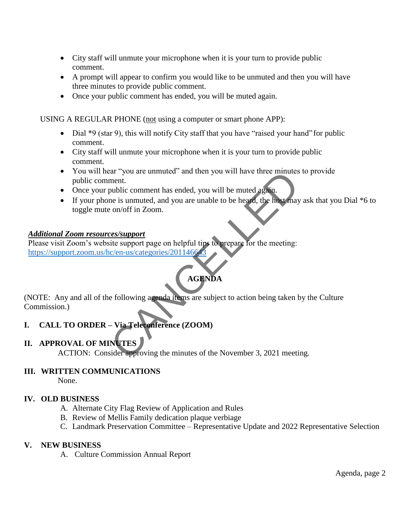- City staff will unmute your microphone when it is your turn to provide public comment.
- A prompt will appear to confirm you would like to be unmuted and then you will have three minutes to provide public comment.
- Once your public comment has ended, you will be muted again.

USING A REGULAR PHONE (not using a computer or smart phone APP):

- Dial \*9 (star 9), this will notify City staff that you have "raised your hand" for public comment.
- City staff will unmute your microphone when it is your turn to provide public comment.
- You will hear "you are unmuted" and then you will have three minutes to provide public comment.
- Once your public comment has ended, you will be muted again.
- If your phone is unmuted, and you are unable to be heard, the host may ask that you Dial  $*6$  to toggle mute on/off in Zoom. Example 12<br>
ment.<br>
ment.<br>
envide comment has ended, you will be muted again.<br>
me is unmuted, and you are unable to be heard, the host may<br>
con/off in Zoom.<br>
<u>ces/support</u><br>
it is support<br>
it is support<br>
it is support<br>
it is

### *Additional Zoom resources/support*

Please visit Zoom's website support page on helpful tips to prepare for the meeting: <https://support.zoom.us/hc/en-us/categories/201146643>

# **AGENDA**

(NOTE: Any and all of the following agenda items are subject to action being taken by the Culture Commission.)

### **I. CALL TO ORDER – Via Teleconference (ZOOM)**

### **II. APPROVAL OF MINUTES**

ACTION: Consider approving the minutes of the November 3, 2021 meeting.

### **III. WRITTEN COMMUNICATIONS**

None.

### **IV. OLD BUSINESS**

- A. Alternate City Flag Review of Application and Rules
- B. Review of Mellis Family dedication plaque verbiage
- C. Landmark Preservation Committee Representative Update and 2022 Representative Selection

### **V. NEW BUSINESS**

A. Culture Commission Annual Report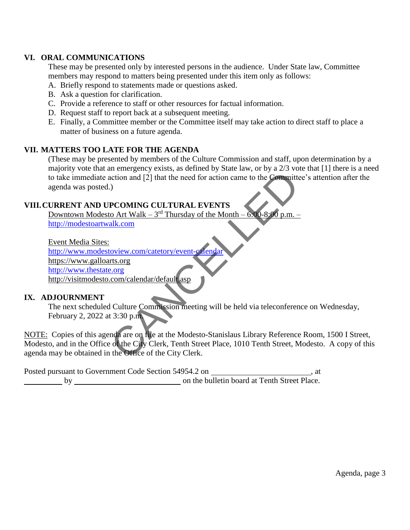### **VI. ORAL COMMUNICATIONS**

These may be presented only by interested persons in the audience. Under State law, Committee members may respond to matters being presented under this item only as follows:

A. Briefly respond to statements made or questions asked.

- B. Ask a question for clarification.
- C. Provide a reference to staff or other resources for factual information.
- D. Request staff to report back at a subsequent meeting.
- E. Finally, a Committee member or the Committee itself may take action to direct staff to place a matter of business on a future agenda.

### **VII. MATTERS TOO LATE FOR THE AGENDA**

(These may be presented by members of the Culture Commission and staff, upon determination by a majority vote that an emergency exists, as defined by State law, or by a 2/3 vote that [1] there is a need to take immediate action and [2] that the need for action came to the Committee's attention after the agenda was posted.)

### **VIII.CURRENT AND UPCOMING CULTURAL EVENTS**

Downtown Modesto Art Walk –  $3^{rd}$  Thursday of the Month –  $6.00-8:00$  p.m. – [http://modestoartwalk.com](http://modestoartwalk.com/)

Event Media Sites: <http://www.modestoview.com/catetory/event-calendar> https://www.galloarts.org [http://www.thestate.org](http://www.thestate.org/) http://visitmodesto.com/calendar/default.asp

### **IX. ADJOURNMENT**

The next scheduled Culture Commission meeting will be held via teleconference on Wednesday, February 2, 2022 at 3:30 p.m.

NOTE: Copies of this agenda are on file at the Modesto-Stanislaus Library Reference Room, 1500 I Street, Modesto, and in the Office of the City Clerk, Tenth Street Place, 1010 Tenth Street, Modesto. A copy of this agenda may be obtained in the Office of the City Clerk. CANCELLED

Posted pursuant to Government Code Section 54954.2 on \_\_\_\_\_\_\_\_\_\_\_\_\_\_\_\_\_\_\_\_\_\_\_\_\_\_\_, at by on the bulletin board at Tenth Street Place.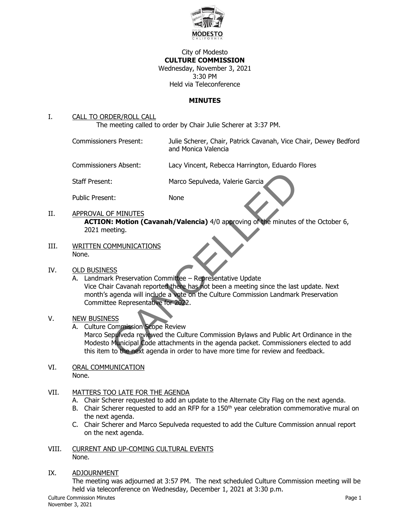

### City of Modesto **CULTURE COMMISSION** Wednesday, November 3, 2021 3:30 PM Held via Teleconference

### **MINUTES**

### I. CALL TO ORDER/ROLL CALL

The meeting called to order by Chair Julie Scherer at 3:37 PM.

Commissioners Present: Julie Scherer, Chair, Patrick Cavanah, Vice Chair, Dewey Bedford and Monica Valencia

Commissioners Absent: Lacy Vincent, Rebecca Harrington, Eduardo Flores

Staff Present: Marco Sepulveda, Valerie Garcia

Public Present: None

- II. APPROVAL OF MINUTES **ACTION: Motion (Cavanah/Valencia)** 4/0 approving of the minutes of the October 6, 2021 meeting.
- III. WRITTEN COMMUNICATIONS None.

### IV. OLD BUSINESS

A. Landmark Preservation Committee – Representative Update Vice Chair Cavanah reported there has not been a meeting since the last update. Next month's agenda will include a vote on the Culture Commission Landmark Preservation Committee Representative for 2022. Example 1:<br>
Marco Sepulveda, Valerie Garcia<br>
11: Motion (Cavanah/Valencia) 4/0 approving of the minutes reting.<br>
<u>CANCELLED CONVINICATIONS</u><br>
COMMUNICATIONS<br>
COMMUNICATIONS<br>
COMMUNICATIONS<br>
COMMUNICATIONS<br>
ESS<br>
COMMUNICATIO

### V. NEW BUSINESS

A. Culture Commission Scope Review

Marco Sepulveda reviewed the Culture Commission Bylaws and Public Art Ordinance in the Modesto Municipal Code attachments in the agenda packet. Commissioners elected to add this item to the next agenda in order to have more time for review and feedback.

VI. ORAL COMMUNICATION None.

### VII. MATTERS TOO LATE FOR THE AGENDA

- A. Chair Scherer requested to add an update to the Alternate City Flag on the next agenda.
- B. Chair Scherer requested to add an RFP for a 150<sup>th</sup> year celebration commemorative mural on the next agenda.
- C. Chair Scherer and Marco Sepulveda requested to add the Culture Commission annual report on the next agenda.
- VIII. CURRENT AND UP-COMING CULTURAL EVENTS None.
- IX. ADJOURNMENT

The meeting was adjourned at 3:57 PM. The next scheduled Culture Commission meeting will be held via teleconference on Wednesday, December 1, 2021 at 3:30 p.m.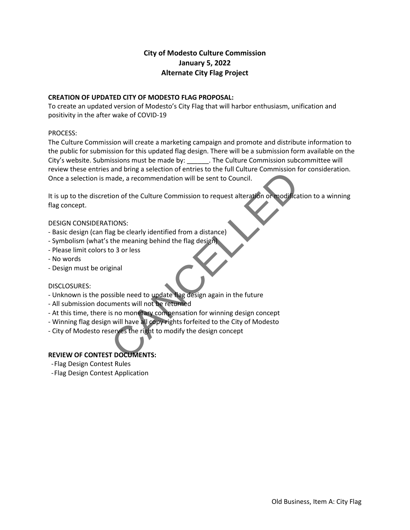### **City of Modesto Culture Commission January 5, 2022 Alternate City Flag Project**

### **CREATION OF UPDATED CITY OF MODESTO FLAG PROPOSAL:**

To create an updated version of Modesto's City Flag that will harbor enthusiasm, unification and positivity in the after wake of COVID-19

### PROCESS:

The Culture Commission will create a marketing campaign and promote and distribute information to the public for submission for this updated flag design. There will be a submission form available on the City's website. Submissions must be made by: \_\_\_\_\_\_. The Culture Commission subcommittee will review these entries and bring a selection of entries to the full Culture Commission for consideration. Once a selection is made, a recommendation will be sent to Council.

It is up to the discretion of the Culture Commission to request alteration or modification to a winning flag concept. and thing a selection of eintres to the functioned commission and e, a recommendation will be sent to Council.<br>Tions:<br>Tions:<br>Tions:<br>ag be clearly identified from a distance)<br>the meaning behind the flag design.<br>to 3 or less

### DESIGN CONSIDERATIONS:

- Basic design (can flag be clearly identified from a distance)
- Symbolism (what's the meaning behind the flag design)
- Please limit colors to 3 or less
- No words
- Design must be original

### DISCLOSURES:

- Unknown is the possible need to update flag design again in the future
- All submission documents will not be returned
- At this time, there is no monetary compensation for winning design concept
- Winning flag design will have all copy rights forfeited to the City of Modesto
- City of Modesto reserves the right to modify the design concept

### **REVIEW OF CONTEST DOCUMENTS:**

- -Flag Design Contest Rules
- -Flag Design Contest Application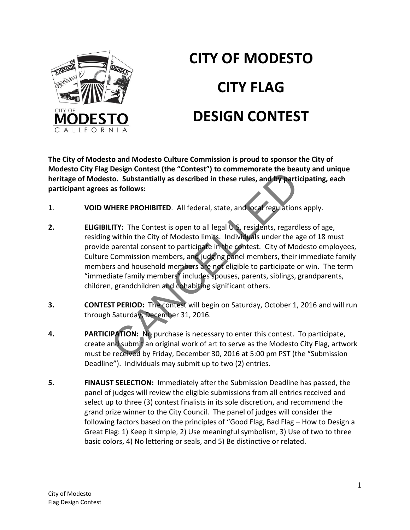

# **CITY OF MODESTO CITY FLAG DESIGN CONTEST**

**The City of Modesto and Modesto Culture Commission is proud to sponsor the City of Modesto City Flag Design Contest (the "Contest") to commemorate the beauty and unique heritage of Modesto. Substantially as described in these rules, and by participating, each participant agrees as follows:**

- **1**. **VOID WHERE PROHIBITED**. All federal, state, and local regulations apply.
- **2. ELIGIBILITY:** The Contest is open to all legal U.S. residents, regardless of age, residing within the City of Modesto limits. Individuals under the age of 18 must provide parental consent to participate in the contest. City of Modesto employees, Culture Commission members, and judging panel members, their immediate family members and household members are not eligible to participate or win. The term "immediate family members" includes spouses, parents, siblings, grandparents, children, grandchildren and cohabiting significant others. Design contest (the contest ) to commentionate the bear<br>to. Substantially as described in these rules, and by parti<br>as follows:<br>THERE PROHIBITED. All federal, state, and local regulations<br>INTY: The Contest is open to all l
- **3. CONTEST PERIOD:** The contest will begin on Saturday, October 1, 2016 and will run through Saturday, December 31, 2016.
- **4. PARTICIPATION:** No purchase is necessary to enter this contest. To participate, create and submit an original work of art to serve as the Modesto City Flag, artwork must be received by Friday, December 30, 2016 at 5:00 pm PST (the "Submission Deadline"). Individuals may submit up to two (2) entries.
- **5. FINALIST SELECTION:** Immediately after the Submission Deadline has passed, the panel of judges will review the eligible submissions from all entries received and select up to three (3) contest finalists in its sole discretion, and recommend the grand prize winner to the City Council. The panel of judges will consider the following factors based on the principles of "Good Flag, Bad Flag – How to Design a Great Flag: 1) Keep it simple, 2) Use meaningful symbolism, 3) Use of two to three basic colors, 4) No lettering or seals, and 5) Be distinctive or related.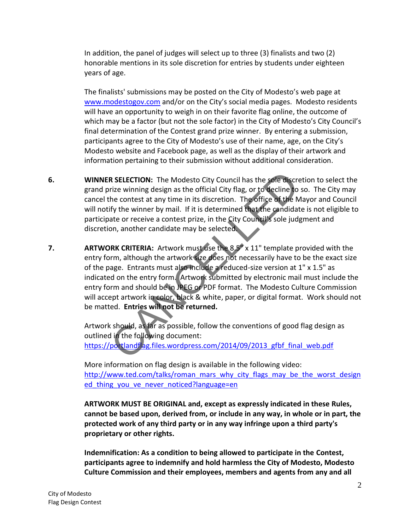In addition, the panel of judges will select up to three (3) finalists and two (2) honorable mentions in its sole discretion for entries by students under eighteen years of age.

The finalists' submissions may be posted on the City of Modesto's web page at [www.modestogov.com](http://www.modestogov.com/) and/or on the City's social media pages. Modesto residents will have an opportunity to weigh in on their favorite flag online, the outcome of which may be a factor (but not the sole factor) in the City of Modesto's City Council's final determination of the Contest grand prize winner. By entering a submission, participants agree to the City of Modesto's use of their name, age, on the City's Modesto website and Facebook page, as well as the display of their artwork and information pertaining to their submission without additional consideration.

- **6. WINNER SELECTION:** The Modesto City Council has the sole discretion to select the grand prize winning design as the official City flag, or to decline to so. The City may cancel the contest at any time in its discretion. The office of the Mayor and Council will notify the winner by mail. If it is determined that the candidate is not eligible to participate or receive a contest prize, in the City Council's sole judgment and discretion, another candidate may be selected.
- **7. ARTWORK CRITERIA:** Artwork must use the 8.5" x 11" template provided with the entry form, although the artwork size does not necessarily have to be the exact size of the page. Entrants must also include a reduced-size version at 1" x 1.5" as indicated on the entry form. Artwork submitted by electronic mail must include the entry form and should be in JPEG or PDF format. The Modesto Culture Commission will accept artwork in color, black & white, paper, or digital format. Work should not be matted. **Entries will not be returned.** R SELE[C](https://portlandflag.files.wordpress.com/2014/09/2013_gfbf_final_web.pdf)TION: The Modesto City Council has the sole discretize winning design as the official City flag, or to decline to the contest at any time in its discretion. The office of the N<br>ify the winner by mail. If it is deter

Artwork should, as far as possible, follow the conventions of good flag design as outlined in the following document: https://portlandflag.files.wordpress.com/2014/09/2013\_gfbf\_final\_web.pdf

More information on flag design is available in the following video: [http://www.ted.com/talks/roman\\_mars\\_why\\_city\\_flags\\_may\\_be\\_the\\_worst\\_design](http://www.ted.com/talks/roman_mars_why_city_flags_may_be_the_worst_designed_thing_you_ve_never_noticed?language=en) ed thing you ve never noticed?language=en

**ARTWORK MUST BE ORIGINAL and, except as expressly indicated in these Rules, cannot be based upon, derived from, or include in any way, in whole or in part, the protected work of any third party or in any way infringe upon a third party's proprietary or other rights.**

**Indemnification: As a condition to being allowed to participate in the Contest, participants agree to indemnify and hold harmless the City of Modesto, Modesto Culture Commission and their employees, members and agents from any and all**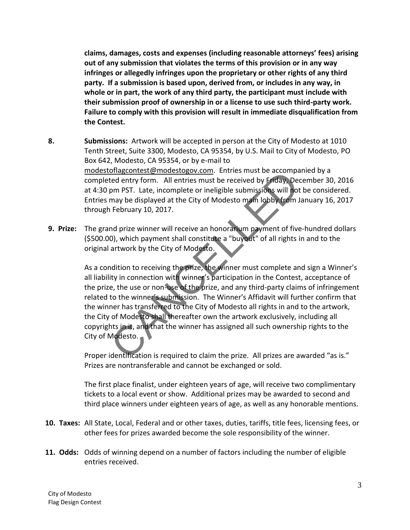**claims, damages, costs and expenses (including reasonable attorneys' fees) arising out of any submission that violates the terms of this provision or in any way infringes or allegedly infringes upon the proprietary or other rights of any third party. If a submission is based upon, derived from, or includes in any way, in whole or in part, the work of any third party, the participant must include with their submission proof of ownership in or a license to use such third-party work. Failure to comply with this provision will result in immediate disqualification from the Contest.**

- **8. Submissions:** Artwork will be accepted in person at the City of Modesto at 1010 Tenth Street, Suite 3300, Modesto, CA 95354, by U.S. Mail to City of Modesto, PO Box 642, Modesto, CA 95354, or by e-mail to modestoflagcontest@modestogov.com. Entries must be accompanied by a completed entry form. All entries must be received by Friday, December 30, 2016 at 4:30 pm PST. Late, incomplete or ineligible submissions will not be considered. Entries may be displayed at the City of Modesto main lobby from January 16, 2017 through February 10, 2017.
- **9. Prize:** The grand prize winner will receive an honorarium payment of five-hundred dollars (\$500.00), which payment shall constitute a "buyout" of all rights in and to the original artwork by the City of Modesto.

As a condition to receiving the prize, the winner must complete and sign a Winner's all liability in connection with winner's participation in the Contest, acceptance of the prize, the use or non-use of the prize, and any third-party claims of infringement related to the winner's submission. The Winner's Affidavit will further confirm that the winner has transferred to the City of Modesto all rights in and to the artwork, the City of Modesto shall thereafter own the artwork exclusively, including all copyrights in it, and that the winner has assigned all such ownership rights to the City of Modesto. oriagcontest@modestogov.com. Entries must be accompated entry form. All entries must be received by Friday, Deepm PST. Late, incomplete or ineligible submissions will not may be displayed at the City of Modesto main lobby

Proper identification is required to claim the prize. All prizes are awarded "as is." Prizes are nontransferable and cannot be exchanged or sold.

The first place finalist, under eighteen years of age, will receive two complimentary tickets to a local event or show. Additional prizes may be awarded to second and third place winners under eighteen years of age, as well as any honorable mentions.

- **10. Taxes:** All State, Local, Federal and or other taxes, duties, tariffs, title fees, licensing fees, or other fees for prizes awarded become the sole responsibility of the winner.
- **11. Odds:** Odds of winning depend on a number of factors including the number of eligible entries received.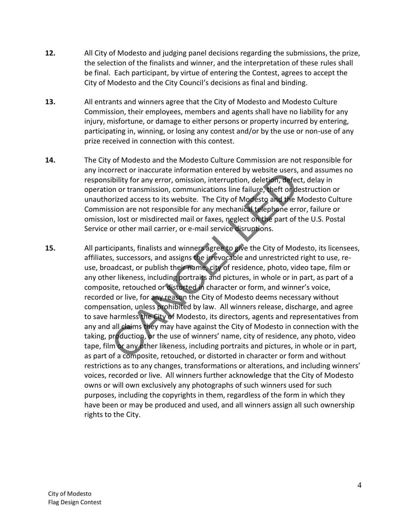- **12.** All City of Modesto and judging panel decisions regarding the submissions, the prize, the selection of the finalists and winner, and the interpretation of these rules shall be final. Each participant, by virtue of entering the Contest, agrees to accept the City of Modesto and the City Council's decisions as final and binding.
- **13.** All entrants and winners agree that the City of Modesto and Modesto Culture Commission, their employees, members and agents shall have no liability for any injury, misfortune, or damage to either persons or property incurred by entering, participating in, winning, or losing any contest and/or by the use or non-use of any prize received in connection with this contest.
- **14.** The City of Modesto and the Modesto Culture Commission are not responsible for any incorrect or inaccurate information entered by website users, and assumes no responsibility for any error, omission, interruption, deletion, defect, delay in operation or transmission, communications line failure, theft or destruction or unauthorized access to its website. The City of Modesto and the Modesto Culture Commission are not responsible for any mechanical telephone error, failure or omission, lost or misdirected mail or faxes, neglect on the part of the U.S. Postal Service or other mail carrier, or e-mail service disruptions.
- **15.** All participants, finalists and winners agree to give the City of Modesto, its licensees, affiliates, successors, and assigns the irrevocable and unrestricted right to use, reuse, broadcast, or publish their name, city of residence, photo, video tape, film or any other likeness, including portraits and pictures, in whole or in part, as part of a composite, retouched or distorted in character or form, and winner's voice, recorded or live, for any reason the City of Modesto deems necessary without compensation, unless prohibited by law. All winners release, discharge, and agree to save harmless the City of Modesto, its directors, agents and representatives from any and all claims they may have against the City of Modesto in connection with the taking, production, or the use of winners' name, city of residence, any photo, video tape, film or any other likeness, including portraits and pictures, in whole or in part, as part of a composite, retouched, or distorted in character or form and without restrictions as to any changes, transformations or alterations, and including winners' voices, recorded or live. All winners further acknowledge that the City of Modesto owns or will own exclusively any photographs of such winners used for such purposes, including the copyrights in them, regardless of the form in which they have been or may be produced and used, and all winners assign all such ownership rights to the City. oriett or inacturate information entered by website users,<br>sibility for any error, omission, interruption, deletion, defecton or transmission, communications line failure, theft or de<br>orized access to its website. The City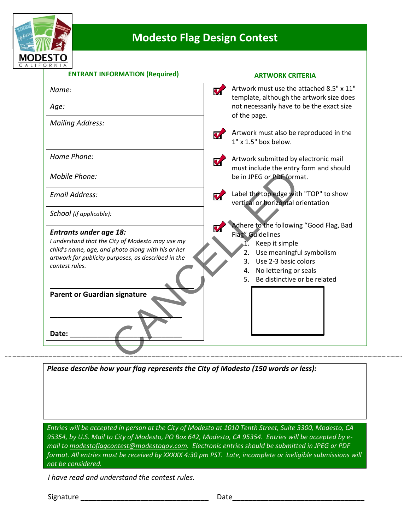

# **Modesto Flag Design Contest**

### **ENTRANT INFORMATION (Required) ARTWORK CRITERIA**

| Name:                                                                                                                                                                                                                                                   | Artwork must use the attached 8.5" x 11"<br>$\boldsymbol{v}$<br>template, although the artwork size does                                                                                                        |
|---------------------------------------------------------------------------------------------------------------------------------------------------------------------------------------------------------------------------------------------------------|-----------------------------------------------------------------------------------------------------------------------------------------------------------------------------------------------------------------|
| Age:                                                                                                                                                                                                                                                    | not necessarily have to be the exact size<br>of the page.                                                                                                                                                       |
| <b>Mailing Address:</b>                                                                                                                                                                                                                                 |                                                                                                                                                                                                                 |
|                                                                                                                                                                                                                                                         | Artwork must also be reproduced in the<br>$\overline{\mathbf{v}}$<br>$1"$ x $1.5"$ box below.                                                                                                                   |
| Home Phone:                                                                                                                                                                                                                                             | Artwork submitted by electronic mail<br>V<br>must include the entry form and should                                                                                                                             |
| Mobile Phone:                                                                                                                                                                                                                                           | be in JPEG or PDF format.                                                                                                                                                                                       |
| Email Address:                                                                                                                                                                                                                                          | Label the top edge with "TOP" to show<br>$\boldsymbol{\nabla}$<br>vertical or horizontal orientation                                                                                                            |
| School (if applicable):                                                                                                                                                                                                                                 |                                                                                                                                                                                                                 |
| <b>Entrants under age 18:</b><br>I understand that the City of Modesto may use my<br>child's name, age, and photo along with his or her<br>artwork for publicity purposes, as described in the<br>contest rules.<br><b>Parent or Guardian signature</b> | Adhere to the following "Good Flag, Bad<br>Flag" Guidelines<br>1. Keep it simple<br>2. Use meaningful symbolism<br>Use 2-3 basic colors<br>3.<br>4. No lettering or seals<br>Be distinctive or be related<br>5. |
| Date:                                                                                                                                                                                                                                                   |                                                                                                                                                                                                                 |

*Please describe how your flag represents the City of Modesto (150 words or less):*

*Entries will be accepted in person at the City of Modesto at 1010 Tenth Street, Suite 3300, Modesto, CA 95354, by U.S. Mail to City of Modesto, PO Box 642, Modesto, CA 95354. Entries will be accepted by email to modestoflagcontest@modestogov.com. Electronic entries should be submitted in JPEG or PDF format. All entries must be received by XXXXX 4:30 pm PST. Late, incomplete or ineligible submissions will not be considered.* 

 *I have read and understand the contest rules.*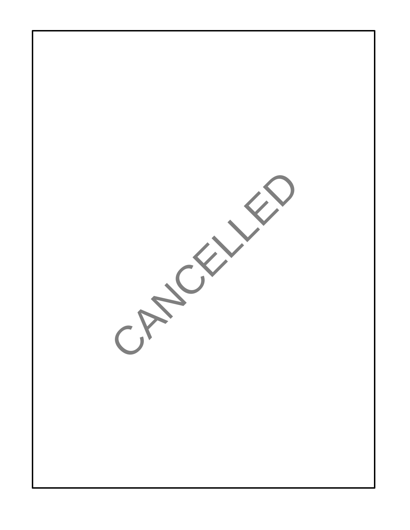